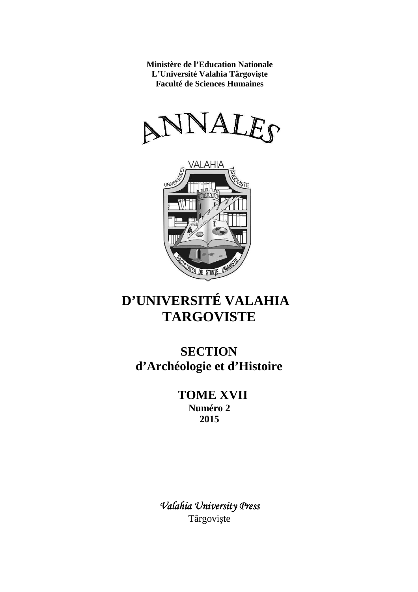**Ministère de l'Education Nationale L'Université Valahia Târgovişte Faculté de Sciences Humaines**





# **D'UNIVERSITÉ VALAHIA TARGOVISTE**

**SECTION d'Archéologie et d'Histoire**

> **TOME XVII Numéro 2 2015**

*Valahia University Press* Târgovişte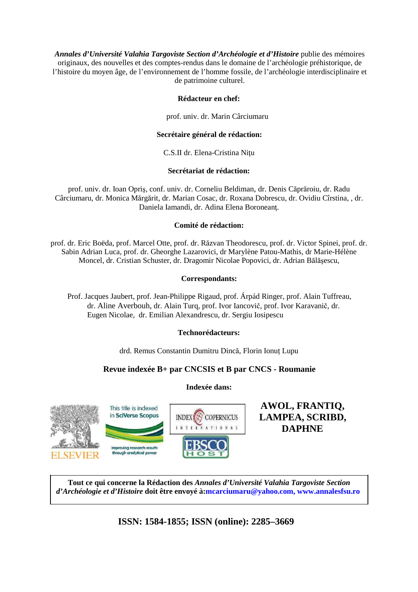*Annales d'Université Valahia Targoviste Section d'Archéologie et d'Histoire* publie des mémoires originaux, des nouvelles et des comptes-rendus dans le domaine de l'archéologie préhistorique, de l'histoire du moyen âge, de l'environnement de l'homme fossile, de l'archéologie interdisciplinaire et de patrimoine culturel.

## **Rédacteur en chef:**

prof. univ. dr. Marin Cârciumaru

## **Secrétaire général de rédaction:**

C.S.II dr. Elena-Cristina Niţu

## **Secrétariat de rédaction:**

prof. univ. dr. Ioan Opriş, conf. univ. dr. Corneliu Beldiman, dr. Denis Căprăroiu, dr. Radu Cârciumaru, dr. Monica Mărgărit, dr. Marian Cosac, dr. Roxana Dobrescu, dr. Ovidiu Cîrstina, , dr. Daniela Iamandi, dr. Adina Elena Boroneanţ.

## **Comité de rédaction:**

prof. dr. Eric Boëda, prof. Marcel Otte, prof. dr. Răzvan Theodorescu, prof. dr. Victor Spinei, prof. dr. Sabin Adrian Luca, prof. dr. Gheorghe Lazarovici, dr Marylène Patou-Mathis, dr Marie-Hélène Moncel, dr. Cristian Schuster, dr. Dragomir Nicolae Popovici, dr. Adrian Bălăşescu,

## **Correspondants:**

Prof. Jacques Jaubert, prof. Jean-Philippe Rigaud, prof. Árpád Ringer, prof. Alain Tuffreau, dr. Aline Averbouh, dr. Alain Turq, prof. Ivor Iancovič, prof. Ivor Karavanič, dr. Eugen Nicolae, dr. Emilian Alexandrescu, dr. Sergiu Iosipescu

## **Technorédacteurs:**

drd. Remus Constantin Dumitru Dincă, Florin Ionuț Lupu

## **Revue indexée B+ par CNCSIS et B par CNCS - Roumanie**

## **Indexée dans:**



**AWOL, FRANTIQ, LAMPEA, SCRIBD, DAPHNE**

**Tout ce qui concerne la Rédaction des** *Annales d'Université Valahia Targoviste Section d'Archéologie et d'Histoire* **doit être envoyé à:mcarciumaru@yahoo.com, www.annalesfsu.ro**

**ISSN: 1584-1855; ISSN (online): 2285–3669**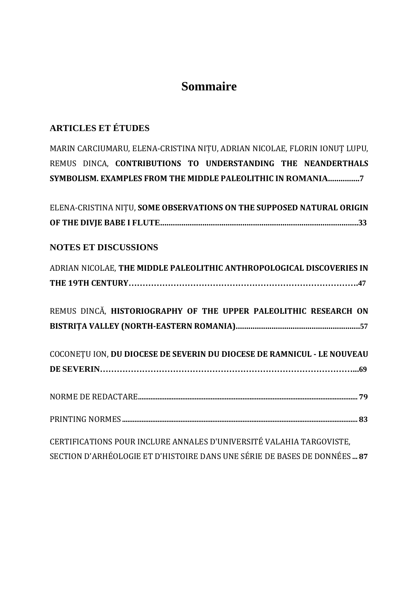## **Sommaire**

## **ARTICLES ET ÉTUDES**

MARIN CARCIUMARU, ELENA-CRISTINA NIȚU, ADRIAN NICOLAE, FLORIN IONUȚ LUPU, REMUS DINCA, **CONTRIBUTIONS TO UNDERSTANDING THE NEANDERTHALS SYMBOLISM. EXAMPLES FROM THE MIDDLE PALEOLITHIC IN ROMANIA...............7**

| ELENA-CRISTINA NITU, SOME OBSERVATIONS ON THE SUPPOSED NATURAL ORIGIN   |
|-------------------------------------------------------------------------|
|                                                                         |
|                                                                         |
| <b>NOTES ET DISCUSSIONS</b>                                             |
| ADRIAN NICOLAE, THE MIDDLE PALEOLITHIC ANTHROPOLOGICAL DISCOVERIES IN   |
|                                                                         |
|                                                                         |
| REMUS DINCĂ, HISTORIOGRAPHY OF THE UPPER PALEOLITHIC RESEARCH ON        |
|                                                                         |
|                                                                         |
| COCONETU ION, DU DIOCESE DE SEVERIN DU DIOCESE DE RAMNICUL - LE NOUVEAU |
|                                                                         |
|                                                                         |
|                                                                         |
|                                                                         |
|                                                                         |
| CERTIFICATIONS POUR INCLURE ANNALES D'UNIVERSITÉ VALAHIA TARGOVISTE,    |

SECTION D'ARHÉOLOGIE ET D'HISTOIRE DANS UNE SÉRIE DE BASES DE DONNÉES **... 87**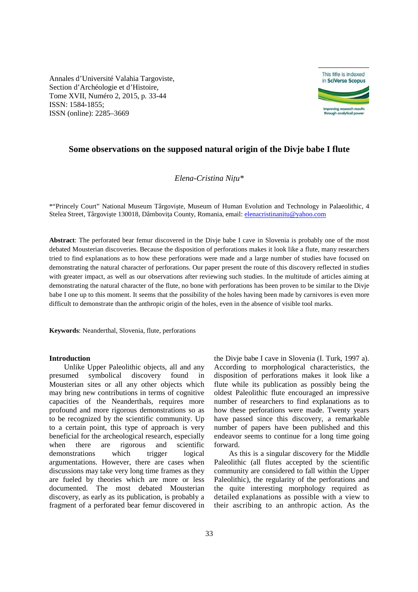Annales d'Université Valahia Targoviste, Section d'Archéologie et d'Histoire, Tome XVII, Numéro 2, 2015, p. 33-44 ISSN: 1584-1855; ISSN (online): 2285–3669



## **Some observations on the supposed natural origin of the Divje babe I flute**

*Elena-Cristina Nițu\** 

\*"Princely Court" National Museum Târgovişte, Museum of Human Evolution and Technology in Palaeolithic, 4 Stelea Street, Târgoviște 130018, Dâmbovița County, Romania, email: elenacristinanitu@yahoo.com

**Abstract**: The perforated bear femur discovered in the Divje babe I cave in Slovenia is probably one of the most debated Mousterian discoveries. Because the disposition of perforations makes it look like a flute, many researchers tried to find explanations as to how these perforations were made and a large number of studies have focused on demonstrating the natural character of perforations. Our paper present the route of this discovery reflected in studies with greater impact, as well as our observations after reviewing such studies. In the multitude of articles aiming at demonstrating the natural character of the flute, no bone with perforations has been proven to be similar to the Divje babe I one up to this moment. It seems that the possibility of the holes having been made by carnivores is even more difficult to demonstrate than the anthropic origin of the holes, even in the absence of visible tool marks.

**Keywords**: Neanderthal, Slovenia, flute, perforations

#### **Introduction**

Unlike Upper Paleolithic objects, all and any presumed symbolical discovery found in Mousterian sites or all any other objects which may bring new contributions in terms of cognitive capacities of the Neanderthals, requires more profound and more rigorous demonstrations so as to be recognized by the scientific community. Up to a certain point, this type of approach is very beneficial for the archeological research, especially when there are rigorous and scientific demonstrations which trigger logical argumentations. However, there are cases when discussions may take very long time frames as they are fueled by theories which are more or less documented. The most debated Mousterian discovery, as early as its publication, is probably a fragment of a perforated bear femur discovered in

the Divje babe I cave in Slovenia (I. Turk, 1997 a). According to morphological characteristics, the disposition of perforations makes it look like a flute while its publication as possibly being the oldest Paleolithic flute encouraged an impressive number of researchers to find explanations as to how these perforations were made. Twenty years have passed since this discovery, a remarkable number of papers have been published and this endeavor seems to continue for a long time going forward.

As this is a singular discovery for the Middle Paleolithic (all flutes accepted by the scientific community are considered to fall within the Upper Paleolithic), the regularity of the perforations and the quite interesting morphology required as detailed explanations as possible with a view to their ascribing to an anthropic action. As the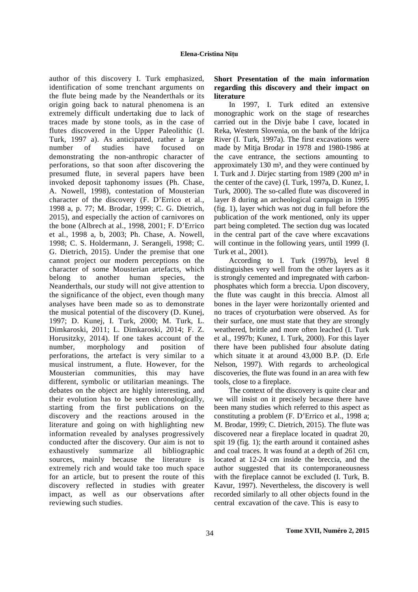author of this discovery I. Turk emphasized, identification of some trenchant arguments on the flute being made by the Neanderthals or its origin going back to natural phenomena is an extremely difficult undertaking due to lack of traces made by stone tools, as in the case of flutes discovered in the Upper Paleolithic (I. Turk, 1997 a). As anticipated, rather a large number of studies have focused on demonstrating the non-anthropic character of perforations, so that soon after discovering the presumed flute, in several papers have been invoked deposit taphonomy issues (Ph. Chase, A. Nowell, 1998), contestation of Mousterian character of the discovery (F. D'Errico et al., 1998 a, p. 77; M. Brodar, 1999; C. G. Dietrich, 2015), and especially the action of carnivores on the bone (Albrech at al., 1998, 2001; F. D'Errico et al., 1998 a, b, 2003; Ph. Chase, A. Nowell, 1998; C. S. Holdermann, J. Serangeli, 1998; C. G. Dietrich, 2015). Under the premise that one cannot project our modern perceptions on the character of some Mousterian artefacts, which belong to another human species, the Neanderthals, our study will not give attention to the significance of the object, even though many analyses have been made so as to demonstrate the musical potential of the discovery (D. Kunej, 1997; D. Kunej, I. Turk, 2000; M. Turk, L. Dimkaroski, 2011; L. Dimkaroski, 2014; F. Z. Horusitzky, 2014). If one takes account of the number, morphology and position of perforations, the artefact is very similar to a musical instrument, a flute. However, for the Mousterian communities, this may have different, symbolic or utilitarian meanings. The debates on the object are highly interesting, and their evolution has to be seen chronologically, starting from the first publications on the discovery and the reactions aroused in the literature and going on with highlighting new information revealed by analyses progressively conducted after the discovery. Our aim is not to exhaustively summarize all bibliographic sources, mainly because the literature is extremely rich and would take too much space for an article, but to present the route of this discovery reflected in studies with greater impact, as well as our observations after reviewing such studies.

## **Short Presentation of the main information regarding this discovery and their impact on literature**

In 1997, I. Turk edited an extensive monographic work on the stage of researches carried out in the Divje babe I cave, located in Reka, Western Slovenia, on the bank of the Idrijca River (I. Turk, 1997a). The first excavations were made by Mitja Brodar in 1978 and 1980-1986 at the cave entrance, the sections amounting to approximately  $130 \text{ m}^3$ , and they were continued by I. Turk and J. Dirjec starting from 1989 (200  $m<sup>3</sup>$  in the center of the cave) (I. Turk, 1997a, D. Kunez, I. Turk, 2000). The so-called flute was discovered in layer 8 during an archeological campaign in 1995 (fig. 1), layer which was not dug in full before the publication of the work mentioned, only its upper part being completed. The section dug was located in the central part of the cave where excavations will continue in the following years, until 1999 (I. Turk et al., 2001).

According to I. Turk (1997b), level 8 distinguishes very well from the other layers as it is strongly cemented and impregnated with carbonphosphates which form a breccia. Upon discovery, the flute was caught in this breccia. Almost all bones in the layer were horizontally oriented and no traces of cryoturbation were observed. As for their surface, one must state that they are strongly weathered, brittle and more often leached (I. Turk et al., 1997b; Kunez, I. Turk, 2000). For this layer there have been published four absolute dating which situate it at around 43,000 B.P. (D. Erle Nelson, 1997). With regards to archeological discoveries, the flute was found in an area with few tools, close to a fireplace.

The context of the discovery is quite clear and we will insist on it precisely because there have been many studies which referred to this aspect as constituting a problem (F. D'Errico et al., 1998 a; M. Brodar, 1999; C. Dietrich, 2015). The flute was discovered near a fireplace located in quadrat 20, spit 19 (fig. 1); the earth around it contained ashes and coal traces. It was found at a depth of 261 cm, located at 12-24 cm inside the breccia, and the author suggested that its contemporaneousness with the fireplace cannot be excluded (I. Turk, B. Kavur, 1997). Nevertheless, the discovery is well recorded similarly to all other objects found in the central excavation of the cave. This is easy to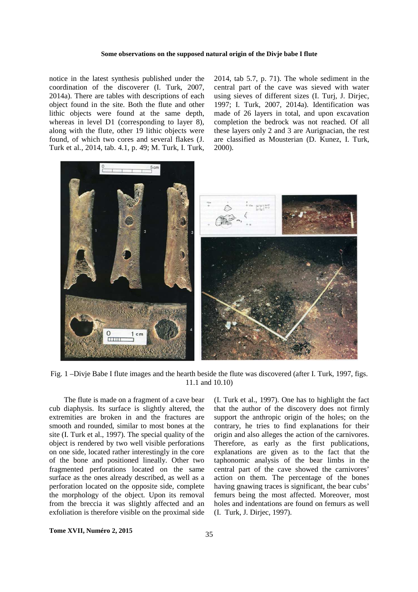#### **Some observations on the supposed natural origin of the Divje babe I flute**

notice in the latest synthesis published under the coordination of the discoverer (I. Turk, 2007, 2014a). There are tables with descriptions of each object found in the site. Both the flute and other lithic objects were found at the same depth, whereas in level D1 (corresponding to layer 8), along with the flute, other 19 lithic objects were found, of which two cores and several flakes (J. Turk et al., 2014, tab. 4.1, p. 49; M. Turk, I. Turk,

2014, tab 5.7, p. 71). The whole sediment in the central part of the cave was sieved with water using sieves of different sizes (I. Turj, J. Dirjec, 1997; I. Turk, 2007, 2014a). Identification was made of 26 layers in total, and upon excavation completion the bedrock was not reached. Of all these layers only 2 and 3 are Aurignacian, the rest are classified as Mousterian (D. Kunez, I. Turk, 2000).



Fig. 1 –Divje Babe I flute images and the hearth beside the flute was discovered (after I. Turk, 1997, figs. 11.1 and 10.10)

The flute is made on a fragment of a cave bear cub diaphysis. Its surface is slightly altered, the extremities are broken in and the fractures are smooth and rounded, similar to most bones at the site (I. Turk et al., 1997). The special quality of the object is rendered by two well visible perforations on one side, located rather interestingly in the core of the bone and positioned lineally. Other two fragmented perforations located on the same surface as the ones already described, as well as a perforation located on the opposite side, complete the morphology of the object. Upon its removal from the breccia it was slightly affected and an exfoliation is therefore visible on the proximal side

(I. Turk et al., 1997). One has to highlight the fact that the author of the discovery does not firmly support the anthropic origin of the holes; on the contrary, he tries to find explanations for their origin and also alleges the action of the carnivores. Therefore, as early as the first publications, explanations are given as to the fact that the taphonomic analysis of the bear limbs in the central part of the cave showed the carnivores' action on them. The percentage of the bones having gnawing traces is significant, the bear cubs' femurs being the most affected. Moreover, most holes and indentations are found on femurs as well (I. Turk, J. Dirjec, 1997).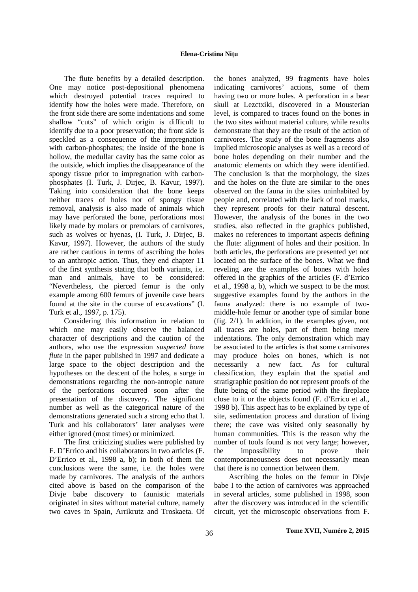#### **Elena-Cristina Nițu**

The flute benefits by a detailed description. One may notice post-depositional phenomena which destroyed potential traces required to identify how the holes were made. Therefore, on the front side there are some indentations and some shallow "cuts" of which origin is difficult to identify due to a poor preservation; the front side is speckled as a consequence of the impregnation with carbon-phosphates; the inside of the bone is hollow, the medullar cavity has the same color as the outside, which implies the disappearance of the spongy tissue prior to impregnation with carbonphosphates (I. Turk, J. Dirjec, B. Kavur, 1997). Taking into consideration that the bone keeps neither traces of holes nor of spongy tissue removal, analysis is also made of animals which may have perforated the bone, perforations most likely made by molars or premolars of carnivores, such as wolves or hyenas, (I. Turk, J. Dirjec, B. Kavur, 1997). However, the authors of the study are rather cautious in terms of ascribing the holes to an anthropic action. Thus, they end chapter 11 of the first synthesis stating that both variants, i.e. man and animals, have to be considered: "Nevertheless, the pierced femur is the only example among 600 femurs of juvenile cave bears found at the site in the course of excavations" (I. Turk et al., 1997, p. 175).

Considering this information in relation to which one may easily observe the balanced character of descriptions and the caution of the authors, who use the expression *suspected bone flute* in the paper published in 1997 and dedicate a large space to the object description and the hypotheses on the descent of the holes, a surge in demonstrations regarding the non-antropic nature of the perforations occurred soon after the presentation of the discovery. The significant number as well as the categorical nature of the demonstrations generated such a strong echo that I. Turk and his collaborators' later analyses were either ignored (most times) or minimized.

The first criticizing studies were published by F. D'Errico and his collaborators in two articles (F. D'Errico et al., 1998 a, b); in both of them the conclusions were the same, i.e. the holes were made by carnivores. The analysis of the authors cited above is based on the comparison of the Divje babe discovery to faunistic materials originated in sites without material culture, namely two caves in Spain, Arrikrutz and Troskaeta. Of

the bones analyzed, 99 fragments have holes indicating carnivores' actions, some of them having two or more holes. A perforation in a bear skull at Lezctxiki, discovered in a Mousterian level, is compared to traces found on the bones in the two sites without material culture, while results demonstrate that they are the result of the action of carnivores. The study of the bone fragments also implied microscopic analyses as well as a record of bone holes depending on their number and the anatomic elements on which they were identified. The conclusion is that the morphology, the sizes and the holes on the flute are similar to the ones observed on the fauna in the sites uninhabited by people and, correlated with the lack of tool marks, they represent proofs for their natural descent. However, the analysis of the bones in the two studies, also reflected in the graphics published, makes no references to important aspects defining the flute: alignment of holes and their position. In both articles, the perforations are presented yet not located on the surface of the bones. What we find reveling are the examples of bones with holes offered in the graphics of the articles (F. d'Errico et al., 1998 a, b), which we suspect to be the most suggestive examples found by the authors in the fauna analyzed: there is no example of twomiddle-hole femur or another type of similar bone (fig. 2/1). In addition, in the examples given, not all traces are holes, part of them being mere indentations. The only demonstration which may be associated to the articles is that some carnivores may produce holes on bones, which is not necessarily a new fact. As for cultural classification, they explain that the spatial and stratigraphic position do not represent proofs of the flute being of the same period with the fireplace close to it or the objects found (F. d'Errico et al., 1998 b). This aspect has to be explained by type of site, sedimentation process and duration of living there; the cave was visited only seasonally by human communities. This is the reason why the number of tools found is not very large; however, the impossibility to prove their contemporaneousness does not necessarily mean that there is no connection between them.

Ascribing the holes on the femur in Divje babe I to the action of carnivores was approached in several articles, some published in 1998, soon after the discovery was introduced in the scientific circuit, yet the microscopic observations from F.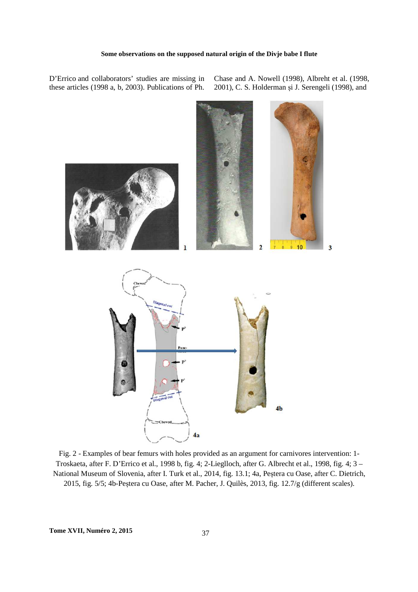D'Errico and collaborators' studies are missing in these articles (1998 a, b, 2003). Publications of Ph.

Chase and A. Nowell (1998), Albreht et al. (1998, 2001), C. S. Holderman și J. Serengeli (1998), and



Fig. 2 - Examples of bear femurs with holes provided as an argument for carnivores intervention: 1- Troskaeta, after F. D'Errico et al., 1998 b, fig. 4; 2-Lieglloch, after G. Albrecht et al., 1998, fig. 4; 3 – National Museum of Slovenia, after I. Turk et al., 2014, fig. 13.1; 4a, Peștera cu Oase, after C. Dietrich, 2015, fig. 5/5; 4b-Peștera cu Oase, after M. Pacher, J. Quilès, 2013, fig. 12.7/g (different scales).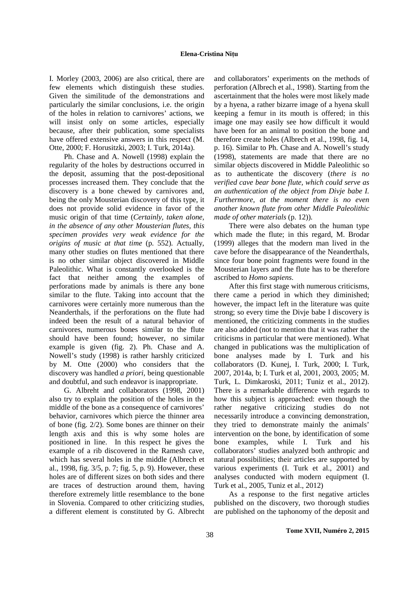I. Morley (2003, 2006) are also critical, there are few elements which distinguish these studies. Given the similitude of the demonstrations and particularly the similar conclusions, i.e. the origin of the holes in relation to carnivores' actions, we will insist only on some articles, especially because, after their publication, some specialists have offered extensive answers in this respect (M. Otte, 2000; F. Horusitzki, 2003; I. Turk, 2014a).

Ph. Chase and A. Nowell (1998) explain the regularity of the holes by destructions occurred in the deposit, assuming that the post-depositional processes increased them. They conclude that the discovery is a bone chewed by carnivores and, being the only Mousterian discovery of this type, it does not provide solid evidence in favor of the music origin of that time (*Certainly, taken alone, in the absence of any other Mousterian flutes, this specimen provides very weak evidence for the origins of music at that time* (p. 552). Actually, many other studies on flutes mentioned that there is no other similar object discovered in Middle Paleolithic. What is constantly overlooked is the fact that neither among the examples of perforations made by animals is there any bone similar to the flute. Taking into account that the carnivores were certainly more numerous than the Neanderthals, if the perforations on the flute had indeed been the result of a natural behavior of carnivores, numerous bones similar to the flute should have been found; however, no similar example is given (fig. 2). Ph. Chase and A. Nowell's study (1998) is rather harshly criticized by M. Otte (2000) who considers that the discovery was handled *a priori,* being questionable and doubtful, and such endeavor is inappropriate.

G. Albreht and collaborators (1998, 2001) also try to explain the position of the holes in the middle of the bone as a consequence of carnivores' behavior, carnivores which pierce the thinner area of bone (fig. 2/2). Some bones are thinner on their length axis and this is why some holes are positioned in line. In this respect he gives the example of a rib discovered in the Ramesh cave, which has several holes in the middle (Albrech et al., 1998, fig. 3/5, p. 7; fig. 5, p. 9). However, these holes are of different sizes on both sides and there are traces of destruction around them, having therefore extremely little resemblance to the bone in Slovenia. Compared to other criticizing studies, a different element is constituted by G. Albrecht

and collaborators' experiments on the methods of perforation (Albrech et al., 1998). Starting from the ascertainment that the holes were most likely made by a hyena, a rather bizarre image of a hyena skull keeping a femur in its mouth is offered; in this image one may easily see how difficult it would have been for an animal to position the bone and therefore create holes (Albrech et al., 1998, fig. 14, p. 16). Similar to Ph. Chase and A. Nowell's study (1998), statements are made that there are no similar objects discovered in Middle Paleolithic so as to authenticate the discovery (*there is no verified cave bear bone flute, which could serve as an authentication of the object from Divje babe I. Furthermore, at the moment there is no even another known flute from other Middle Paleolithic made of other materials* (p. 12)).

There were also debates on the human type which made the flute; in this regard, M. Brodar (1999) alleges that the modern man lived in the cave before the disappearance of the Neanderthals, since four bone point fragments were found in the Mousterian layers and the flute has to be therefore ascribed to *Homo sapiens*.

After this first stage with numerous criticisms, there came a period in which they diminished; however, the impact left in the literature was quite strong; so every time the Divje babe I discovery is mentioned, the criticizing comments in the studies are also added (not to mention that it was rather the criticisms in particular that were mentioned). What changed in publications was the multiplication of bone analyses made by I. Turk and his collaborators (D. Kunej, I. Turk, 2000; I. Turk, 2007, 2014a, b; I. Turk et al, 2001, 2003, 2005; M. Turk, L. Dimkaroski, 2011; Tuniz et al., 2012). There is a remarkable difference with regards to how this subject is approached: even though the rather negative criticizing studies do not necessarily introduce a convincing demonstration, they tried to demonstrate mainly the animals' intervention on the bone, by identification of some bone examples, while I. Turk and his collaborators' studies analyzed both anthropic and natural possibilities; their articles are supported by various experiments (I. Turk et al., 2001) and analyses conducted with modern equipment (I. Turk et al., 2005, Tuniz et al., 2012)

As a response to the first negative articles published on the discovery, two thorough studies are published on the taphonomy of the deposit and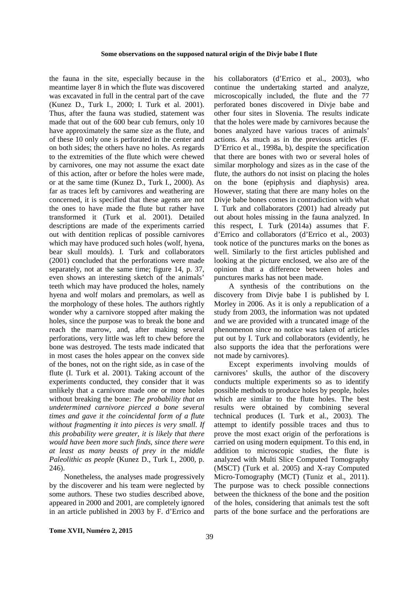#### **Some observations on the supposed natural origin of the Divje babe I flute**

the fauna in the site, especially because in the meantime layer 8 in which the flute was discovered was excavated in full in the central part of the cave (Kunez D., Turk I., 2000; I. Turk et al. 2001). Thus, after the fauna was studied, statement was made that out of the 600 bear cub femurs, only 10 have approximately the same size as the flute, and of these 10 only one is perforated in the center and on both sides; the others have no holes. As regards to the extremities of the flute which were chewed by carnivores, one may not assume the exact date of this action, after or before the holes were made, or at the same time (Kunez D., Turk I., 2000). As far as traces left by carnivores and weathering are concerned, it is specified that these agents are not the ones to have made the flute but rather have transformed it (Turk et al. 2001). Detailed descriptions are made of the experiments carried out with dentition replicas of possible carnivores which may have produced such holes (wolf, hyena, bear skull moulds). I. Turk and collaborators (2001) concluded that the perforations were made separately, not at the same time; figure 14, p. 37, even shows an interesting sketch of the animals' teeth which may have produced the holes, namely hyena and wolf molars and premolars, as well as the morphology of these holes. The authors rightly wonder why a carnivore stopped after making the holes, since the purpose was to break the bone and reach the marrow, and, after making several perforations, very little was left to chew before the bone was destroyed. The tests made indicated that in most cases the holes appear on the convex side of the bones, not on the right side, as in case of the flute (I. Turk et al. 2001). Taking account of the experiments conducted, they consider that it was unlikely that a carnivore made one or more holes without breaking the bone: *The probability that an undetermined carnivore pierced a bone several times and gave it the coincidental form of a flute without fragmenting it into pieces is very small. If this probability were greater, it is likely that there would have been more such finds, since there were at least as many beasts of prey in the middle Paleolithic as people* (Kunez D., Turk I., 2000, p. 246).

Nonetheless, the analyses made progressively by the discoverer and his team were neglected by some authors. These two studies described above, appeared in 2000 and 2001, are completely ignored in an article published in 2003 by F. d'Errico and his collaborators (d'Errico et al., 2003), who continue the undertaking started and analyze, microscopically included, the flute and the 77 perforated bones discovered in Divje babe and other four sites in Slovenia. The results indicate that the holes were made by carnivores because the bones analyzed have various traces of animals' actions. As much as in the previous articles (F. D'Errico et al., 1998a, b), despite the specification that there are bones with two or several holes of similar morphology and sizes as in the case of the flute, the authors do not insist on placing the holes on the bone (epiphysis and diaphysis) area. However, stating that there are many holes on the Divje babe bones comes in contradiction with what I. Turk and collaborators (2001) had already put out about holes missing in the fauna analyzed. In this respect, I. Turk (2014a) assumes that F. d'Errico and collaborators (d'Errico et al., 2003) took notice of the punctures marks on the bones as well. Similarly to the first articles published and looking at the picture enclosed, we also are of the opinion that a difference between holes and punctures marks has not been made.

A synthesis of the contributions on the discovery from Divje babe I is published by I. Morley in 2006. As it is only a republication of a study from 2003, the information was not updated and we are provided with a truncated image of the phenomenon since no notice was taken of articles put out by I. Turk and collaborators (evidently, he also supports the idea that the perforations were not made by carnivores).

Except experiments involving moulds of carnivores' skulls, the author of the discovery conducts multiple experiments so as to identify possible methods to produce holes by people, holes which are similar to the flute holes. The best results were obtained by combining several technical produces (I. Turk et al., 2003). The attempt to identify possible traces and thus to prove the most exact origin of the perforations is carried on using modern equipment. To this end, in addition to microscopic studies, the flute is analyzed with Multi Slice Computed Tomography (MSCT) (Turk et al. 2005) and X-ray Computed Micro-Tomography (MCT) (Tuniz et al., 2011). The purpose was to check possible connections between the thickness of the bone and the position of the holes, considering that animals test the soft parts of the bone surface and the perforations are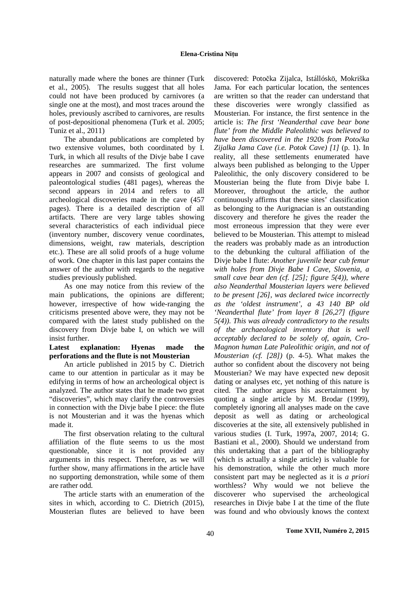naturally made where the bones are thinner (Turk et al., 2005). The results suggest that all holes could not have been produced by carnivores (a single one at the most), and most traces around the holes, previously ascribed to carnivores, are results of post-depositional phenomena (Turk et al. 2005; Tuniz et al., 2011)

The abundant publications are completed by two extensive volumes, both coordinated by I. Turk, in which all results of the Divje babe I cave researches are summarized. The first volume appears in 2007 and consists of geological and paleontological studies (481 pages), whereas the second appears in 2014 and refers to all archeological discoveries made in the cave (457 pages). There is a detailed description of all artifacts. There are very large tables showing several characteristics of each individual piece (inventory number, discovery venue coordinates, dimensions, weight, raw materials, description etc.). These are all solid proofs of a huge volume of work. One chapter in this last paper contains the answer of the author with regards to the negative studies previously published.

As one may notice from this review of the main publications, the opinions are different; however, irrespective of how wide-ranging the criticisms presented above were, they may not be compared with the latest study published on the discovery from Divje babe I, on which we will insist further.

#### **Latest explanation: Hyenas made the perforations and the flute is not Mousterian**

An article published in 2015 by C. Dietrich came to our attention in particular as it may be edifying in terms of how an archeological object is analyzed. The author states that he made two great "discoveries", which may clarify the controversies in connection with the Divje babe I piece: the flute is not Mousterian and it was the hyenas which made it.

The first observation relating to the cultural affiliation of the flute seems to us the most questionable, since it is not provided any arguments in this respect. Therefore, as we will further show, many affirmations in the article have no supporting demonstration, while some of them are rather odd.

The article starts with an enumeration of the sites in which, according to C. Dietrich (2015), Mousterian flutes are believed to have been

discovered: Potočka Zijalca, Istállóskö, Mokriška Jama. For each particular location, the sentences are written so that the reader can understand that these discoveries were wrongly classified as Mousterian. For instance, the first sentence in the article is: *The first 'Neanderthal cave bear bone flute' from the Middle Paleolithic was believed to have been discovered in the 1920s from Potočka Zijalka Jama Cave (i.e. Potok Cave) [1]* (p. 1). In reality, all these settlements enumerated have always been published as belonging to the Upper Paleolithic, the only discovery considered to be Mousterian being the flute from Divje babe I. Moreover, throughout the article, the author continuously affirms that these sites' classification as belonging to the Aurignacian is an outstanding discovery and therefore he gives the reader the most erroneous impression that they were ever believed to be Mousterian. This attempt to mislead the readers was probably made as an introduction to the debunking the cultural affiliation of the Divje babe I flute: *Another juvenile bear cub femur with holes from Divje Babe I Cave, Slovenia, a small cave bear den (cf. [25]; figure 5(4)), where also Neanderthal Mousterian layers were believed to be present [26], was declared twice incorrectly as the 'oldest instrument', a 43 140 BP old 'Neanderthal flute' from layer 8 [26,27] (figure 5(4)). This was already contradictory to the results of the archaeological inventory that is well acceptably declared to be solely of, again, Cro-Magnon human Late Paleolithic origin, and not of Mousterian (cf. [28])* (p. 4-5). What makes the author so confident about the discovery not being Mousterian? We may have expected new deposit dating or analyses etc, yet nothing of this nature is cited. The author argues his ascertainment by quoting a single article by M. Brodar (1999), completely ignoring all analyses made on the cave deposit as well as dating or archeological discoveries at the site, all extensively published in various studies (I. Turk, 1997a, 2007, 2014; G. Bastiani et al., 2000). Should we understand from this undertaking that a part of the bibliography (which is actually a single article) is valuable for his demonstration, while the other much more consistent part may be neglected as it is *a priori* worthless? Why would we not believe the discoverer who supervised the archeological researches in Divje babe I at the time of the flute was found and who obviously knows the context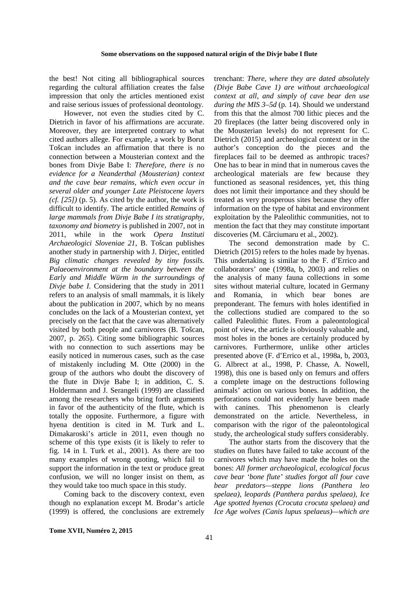the best! Not citing all bibliographical sources regarding the cultural affiliation creates the false impression that only the articles mentioned exist and raise serious issues of professional deontology.

However, not even the studies cited by C. Dietrich in favor of his affirmations are accurate. Moreover, they are interpreted contrary to what cited authors allege. For example, a work by Borut Tošcan includes an affirmation that there is no connection between a Mousterian context and the bones from Divje Babe I: *Therefore, there is no evidence for a Neanderthal (Mousterian) context and the cave bear remains, which even occur in several older and younger Late Pleistocene layers (cf. [25])* (p. 5). As cited by the author, the work is difficult to identify. The article entitled *Remains of large mammals from Divje Babe I its stratigraphy, taxonomy and biometry* is published in 2007, not in 2011, while in the work *Opera Instituti Archaeologici Sloveniae 21*, B. Tošcan publishes another study in partnership with J. Dirjec, entitled *Big climatic changes revealed by tiny fossils. Palaeoenvironment at the boundary between the Early and Middle Würm in the surroundings of Divje babe I*. Considering that the study in 2011 refers to an analysis of small mammals, it is likely about the publication in 2007, which by no means concludes on the lack of a Mousterian context, yet precisely on the fact that the cave was alternatively visited by both people and carnivores (B. Tošcan, 2007, p. 265). Citing some bibliographic sources with no connection to such assertions may be easily noticed in numerous cases, such as the case of mistakenly including M. Otte (2000) in the group of the authors who doubt the discovery of the flute in Divje Babe I; in addition, C. S. Holdermann and J. Serangeli (1999) are classified among the researchers who bring forth arguments in favor of the authenticity of the flute, which is totally the opposite. Furthermore, a figure with hyena dentition is cited in M. Turk and L. Dimakaroski's article in 2011, even though no scheme of this type exists (it is likely to refer to fig. 14 in I. Turk et al., 2001). As there are too many examples of wrong quoting, which fail to support the information in the text or produce great confusion, we will no longer insist on them, as they would take too much space in this study.

Coming back to the discovery context, even though no explanation except M. Brodar's article (1999) is offered, the conclusions are extremely

trenchant: *There, where they are dated absolutely (Divje Babe Cave 1) are without archaeological context at all, and simply of cave bear den use during the MIS 3–5d* (p. 14). Should we understand from this that the almost 700 lithic pieces and the 20 fireplaces (the latter being discovered only in the Mousterian levels) do not represent for C. Dietrich (2015) and archeological context or in the author's conception do the pieces and the fireplaces fail to be deemed as anthropic traces? One has to bear in mind that in numerous caves the archeological materials are few because they functioned as seasonal residences, yet, this thing does not limit their importance and they should be treated as very prosperous sites because they offer information on the type of habitat and environment exploitation by the Paleolithic communities, not to mention the fact that they may constitute important discoveries (M. Cârciumaru et al., 2002).

The second demonstration made by C. Dietrich (2015) refers to the holes made by hyenas. This undertaking is similar to the F. d'Errico and collaborators' one (1998a, b, 2003) and relies on the analysis of many fauna collections in some sites without material culture, located in Germany and Romania, in which bear bones are preponderant. The femurs with holes identified in the collections studied are compared to the so called Paleolithic flutes. From a paleontological point of view, the article is obviously valuable and, most holes in the bones are certainly produced by carnivores. Furthermore, unlike other articles presented above (F. d'Errico et al., 1998a, b, 2003, G. Albrect at al., 1998, P. Chasse, A. Nowell, 1998), this one is based only on femurs and offers a complete image on the destructions following animals' action on various bones. In addition, the perforations could not evidently have been made with canines. This phenomenon is clearly demonstrated on the article. Nevertheless, in comparison with the rigor of the paleontological study, the archeological study suffers considerably.

The author starts from the discovery that the studies on flutes have failed to take account of the carnivores which may have made the holes on the bones: *All former archaeological, ecological focus cave bear 'bone flute' studies forgot all four cave bear predators—steppe lions (Panthera leo spelaea), leopards (Panthera pardus spelaea), Ice Age spotted hyenas (Crocuta crocuta spelaea) and Ice Age wolves (Canis lupus spelaeus)—which are*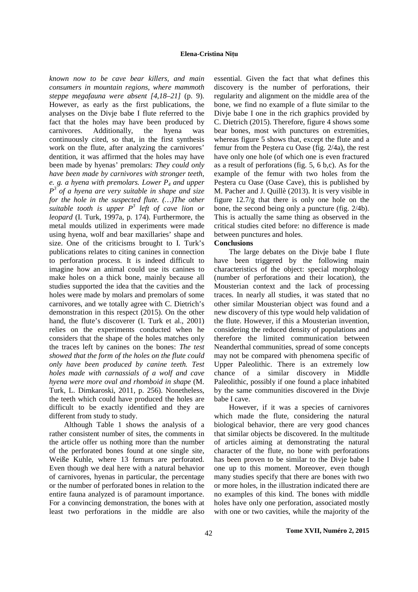#### **Elena-Cristina Nițu**

*known now to be cave bear killers, and main consumers in mountain regions, where mammoth steppe megafauna were absent [4,18–21]* (p. 9). However, as early as the first publications, the analyses on the Divje babe I flute referred to the fact that the holes may have been produced by carnivores. Additionally, the hyena was continuously cited, so that, in the first synthesis work on the flute, after analyzing the carnivores' dentition, it was affirmed that the holes may have been made by hyenas' premolars: *They could only have been made by carnivores with stronger teeth, e. g. a hyena with premolars. Lower P4 and upper P 3 of a hyena are very suitable in shape and size for the hole in the suspected flute. (…)The other suitable tooth is upper P<sup>3</sup> left of cave lion or leopard* (I. Turk, 1997a, p. 174). Furthermore, the metal moulds utilized in experiments were made using hyena, wolf and bear maxillaries' shape and size. One of the criticisms brought to I. Turk's publications relates to citing canines in connection to perforation process. It is indeed difficult to imagine how an animal could use its canines to make holes on a thick bone, mainly because all studies supported the idea that the cavities and the holes were made by molars and premolars of some carnivores, and we totally agree with C. Dietrich's demonstration in this respect (2015). On the other hand, the flute's discoverer (I. Turk et al., 2001) relies on the experiments conducted when he considers that the shape of the holes matches only the traces left by canines on the bones: *The test showed that the form of the holes on the flute could only have been produced by canine teeth. Test holes made with carnassials of a wolf and cave hyena were more oval and rhomboid in shape* (M. Turk, L. Dimkaroski, 2011, p. 256). Nonetheless, the teeth which could have produced the holes are difficult to be exactly identified and they are different from study to study.

Although Table 1 shows the analysis of a rather consistent number of sites, the comments in the article offer us nothing more than the number of the perforated bones found at one single site, Weiße Kuhle, where 13 femurs are perforated. Even though we deal here with a natural behavior of carnivores, hyenas in particular, the percentage or the number of perforated bones in relation to the entire fauna analyzed is of paramount importance. For a convincing demonstration, the bones with at least two perforations in the middle are also

essential. Given the fact that what defines this discovery is the number of perforations, their regularity and alignment on the middle area of the bone, we find no example of a flute similar to the Divje babe I one in the rich graphics provided by C. Dietrich (2015). Therefore, figure 4 shows some bear bones, most with punctures on extremities, whereas figure 5 shows that, except the flute and a femur from the Peștera cu Oase (fig. 2/4a), the rest have only one hole (of which one is even fractured as a result of perforations (fig. 5, 6 b,c). As for the example of the femur with two holes from the Peștera cu Oase (Oase Cave), this is published by M. Pacher and J. Quillè (2013). It is very visible in figure  $12.7/g$  that there is only one hole on the bone, the second being only a puncture (fig. 2/4b). This is actually the same thing as observed in the critical studies cited before: no difference is made between punctures and holes.

#### **Conclusions**

The large debates on the Divje babe I flute have been triggered by the following main characteristics of the object: special morphology (number of perforations and their location), the Mousterian context and the lack of processing traces. In nearly all studies, it was stated that no other similar Mousterian object was found and a new discovery of this type would help validation of the flute. However, if this a Mousterian invention, considering the reduced density of populations and therefore the limited communication between Neanderthal communities, spread of some concepts may not be compared with phenomena specific of Upper Paleolithic. There is an extremely low chance of a similar discovery in Middle Paleolithic, possibly if one found a place inhabited by the same communities discovered in the Divje babe I cave.

However, if it was a species of carnivores which made the flute, considering the natural biological behavior, there are very good chances that similar objects be discovered. In the multitude of articles aiming at demonstrating the natural character of the flute, no bone with perforations has been proven to be similar to the Divje babe I one up to this moment. Moreover, even though many studies specify that there are bones with two or more holes, in the illustration indicated there are no examples of this kind. The bones with middle holes have only one perforation, associated mostly with one or two cavities, while the majority of the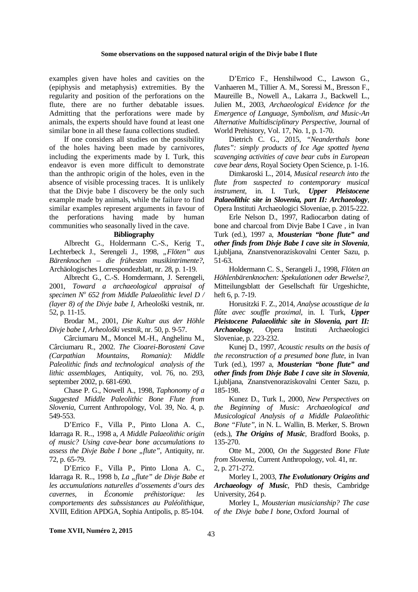#### **Some observations on the supposed natural origin of the Divje babe I flute**

examples given have holes and cavities on the (epiphysis and metaphysis) extremities. By the regularity and position of the perforations on the flute, there are no further debatable issues. Admitting that the perforations were made by animals, the experts should have found at least one similar bone in all these fauna collections studied.

If one considers all studies on the possibility of the holes having been made by carnivores, including the experiments made by I. Turk, this endeavor is even more difficult to demonstrate than the anthropic origin of the holes, even in the absence of visible processing traces. It is unlikely that the Divje babe I discovery be the only such example made by animals, while the failure to find similar examples represent arguments in favour of the perforations having made by human communities who seasonally lived in the cave.

#### **Bibliography**

Albrecht G., Holdermann C.-S., Kerig T., Lechterbeck J., Serengeli J., 1998, "Flöten" aus *Bärenknochen – die frühesten musikintrimente?*, Archäologisches Lorrespondezblatt, nr. 28, p. 1-19.

Albrecht G., C.-S. Homdermann, J. Serengeli, 2001, *Toward a archaeological appraisal of specimen N<sup>o</sup> 652 from Middle Palaeolithic level D / (layer 8) of the Divje babe I*, Arheološki vestnik, nr. 52, p. 11-15.

Brodar M., 2001, *Die Kultur aus der Höhle Divje babe I, Arheološki vestnik*, nr. 50, p. 9-57.

Cârciumaru M., Moncel M.-H., Anghelinu M., Cârciumaru R., 2002. *The Cioarei-Borosteni Cave (Carpathian Mountains, Romania): Middle Paleolithic finds and technological analysis of the lithic assemblages,* Antiquity,vol. 76, no. 293, september 2002, p. 681-690.

Chase P. G., Nowell A., 1998, *Taphonomy of a Suggested Middle Paleolithic Bone Flute from Slovenia*, Current Anthropology, Vol. 39, No. 4, p. 549-553.

D'Errico F., Villa P., Pinto Llona A. C., Idarraga R. R.., 1998 a, *A Middle Palaeolithic origin of music? Using cave-bear bone accumulations to assess the Divje Babe I bone "flute"*, Antiquity, nr. 72, p. 65-79.

D'Errico F., Villa P., Pinto Llona A. C., Idarraga R. R.., 1998 b, *La "flute" de Divje Babe et les accumulations naturelles d'ossements d'ours des cavernes*, in *Économie préhistorique: les comportements des subssistances au Paléolithique*, XVIII, Edition APDGA, Sophia Antipolis, p. 85-104.

D'Errico F., Henshilwood C., Lawson G., Vanhaeren M., Tillier A. M., Soressi M., Bresson F., Maureille B., Nowell A., Lakarra J., Backwell L., Julien M., 2003, *Archaeological Evidence for the Emergence of Language, Symbolism, and Music-An Alternative Multidisciplinary Perspective*, Journal of World Prehistory, Vol. 17, No. 1, p. 1-70.

Dietrich C. G., 2015, *"Neanderthals bone flutes": simply products of Ice Age spotted hyena scavenging activities of cave bear cubs in European cave bear dens*, Royal Society Open Science, p. 1-16.

Dimkaroski L., 2014, *Musical research into the flute from suspected to contemporary musical instrument*, in. I. Turk, *Upper Pleistocene Palaeolithic site in Slovenia, part II: Archaeology*, Opera Instituti Archaeologici Sloveniae, p. 2015-222.

Erle Nelson D., 1997, Radiocarbon dating of bone and charcoal from Divje Babe I Cave , in Ivan Turk (ed.), 1997 a, *Mousterian "bone flute" and other finds from Divje Babe I cave site in Slovenia*, Ljubljana, Znanstvenoraziskovalni Center Sazu, p. 51-63.

Holdermann C. S., Serangeli J., 1998, *Flöten an Höhlenbärenknochen: Spekulationen oder Bewelse?*, Mitteilungsblatt der Gesellschaft für Urgeshichte, heft 6, p. 7-19.

Horusitzki F. Z., 2014, *Analyse acoustique de la flûte avec souffle proximal*, in. I. Turk, *Upper Pleistocene Palaeolithic site in Slovenia, part II: Archaeology*, Opera Instituti Archaeologici Sloveniae, p. 223-232.

Kunej D., 1997, *Acoustic results on the basis of the reconstruction of a presumed bone flute*, in Ivan Turk (ed.), 1997 a, *Mousterian "bone flute" and other finds from Divje Babe I cave site in Slovenia*, Ljubljana, Znanstvenoraziskovalni Center Sazu, p. 185-198.

Kunez D., Turk I., 2000, *New Perspectives on the Beginning of Music: Archaeological and Musicological Analysis of a Middle Palaeolithic Bone "Flute"*, in N. L. Wallin, B. Merker, S. Brown (eds.), *The Origins of Music*, Bradford Books, p. 135-270.

Otte M., 2000, *On the Suggested Bone Flute from Slovenia*, Current Anthropology, vol. 41, nr. 2, p. 271-272.

Morley I., 2003, *The Evolutionary Origins and Archaeology of Music*, PhD thesis, Cambridge University, 264 p.

Morley I., *Mousterian musicianship? The case of the Divje babe I bone*, Oxford Journal of